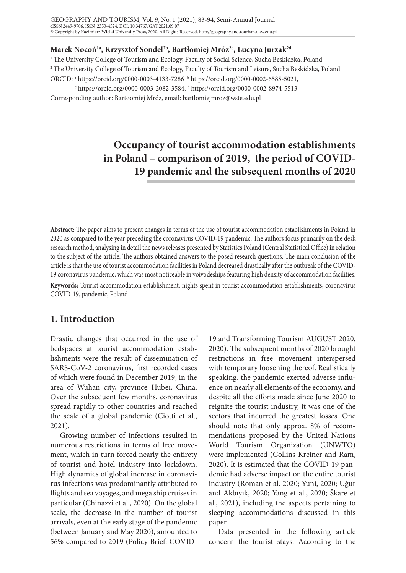#### **Marek Nocoń1a, Krzysztof Sondel2b, Bartłomiej Mróz2c, Lucyna Jurzak2d**

1 The University College of Tourism and Ecology, Faculty of Social Science, Sucha Beskidzka, Poland 2 The University College of Tourism and Ecology, Faculty of Tourism and Leisure, Sucha Beskidzka, Poland ORCID: <sup>a</sup> https://orcid.org/0000-0003-4133-7286 <sup>b</sup> https://orcid.org/0000-0002-6585-5021,

<sup>c</sup> https://orcid.org/0000-0003-2082-3584, <sup>d</sup> https://orcid.org/0000-0002-8974-5513

Corresponding author: Bartøomiej Mróz, email: bartlomiejmroz@wste.edu.pl

# **Occupancy of tourist accommodation establishments in Poland – comparison of 2019, the period of COVID-19 pandemic and the subsequent months of 2020**

**Abstract:** The paper aims to present changes in terms of the use of tourist accommodation establishments in Poland in 2020 as compared to the year preceding the coronavirus COVID-19 pandemic. The authors focus primarily on the desk research method, analysing in detail the news releases presented by Statistics Poland (Central Statistical Office) in relation to the subject of the article. The authors obtained answers to the posed research questions. The main conclusion of the article is that the use of tourist accommodation facilities in Poland decreased drastically after the outbreak of the COVID-19 coronavirus pandemic, which was most noticeable in voivodeships featuring high density of accommodation facilities.

**Keywords:** Tourist accommodation establishment, nights spent in tourist accommodation establishments, coronavirus COVID-19, pandemic, Poland

## **1. Introduction**

Drastic changes that occurred in the use of bedspaces at tourist accommodation establishments were the result of dissemination of SARS-CoV-2 coronavirus, first recorded cases of which were found in December 2019, in the area of Wuhan city, province Hubei, China. Over the subsequent few months, coronavirus spread rapidly to other countries and reached the scale of a global pandemic (Ciotti et al., 2021).

Growing number of infections resulted in numerous restrictions in terms of free movement, which in turn forced nearly the entirety of tourist and hotel industry into lockdown. High dynamics of global increase in coronavirus infections was predominantly attributed to flights and sea voyages, and mega ship cruises in particular (Chinazzi et al., 2020). On the global scale, the decrease in the number of tourist arrivals, even at the early stage of the pandemic (between January and May 2020), amounted to 56% compared to 2019 (Policy Brief: COVID-

19 and Transforming Tourism AUGUST 2020, 2020). The subsequent months of 2020 brought restrictions in free movement interspersed with temporary loosening thereof. Realistically speaking, the pandemic exerted adverse influence on nearly all elements of the economy, and despite all the efforts made since June 2020 to reignite the tourist industry, it was one of the sectors that incurred the greatest losses. One should note that only approx. 8% of recommendations proposed by the United Nations World Tourism Organization (UNWTO) were implemented (Collins-Kreiner and Ram, 2020). It is estimated that the COVID-19 pandemic had adverse impact on the entire tourist industry (Roman et al. 2020; Yuni, 2020; Uğur and Akbıyık, 2020; Yang et al., 2020; Škare et al., 2021), including the aspects pertaining to sleeping accommodations discussed in this paper.

Data presented in the following article concern the tourist stays. According to the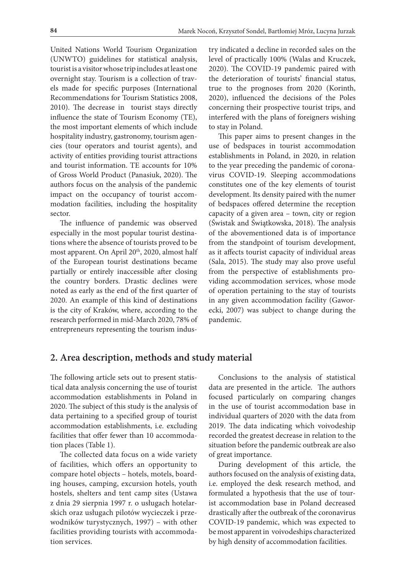United Nations World Tourism Organization (UNWTO) guidelines for statistical analysis, tourist is a visitor whose trip includes at least one overnight stay. Tourism is a collection of travels made for specific purposes (International Recommendations for Tourism Statistics 2008, 2010). The decrease in tourist stays directly influence the state of Tourism Economy (TE), the most important elements of which include hospitality industry, gastronomy, tourism agencies (tour operators and tourist agents), and activity of entities providing tourist attractions and tourist information. TE accounts for 10% of Gross World Product (Panasiuk, 2020). The authors focus on the analysis of the pandemic impact on the occupancy of tourist accommodation facilities, including the hospitality sector.

The influence of pandemic was observed especially in the most popular tourist destinations where the absence of tourists proved to be most apparent. On April 20<sup>th</sup>, 2020, almost half of the European tourist destinations became partially or entirely inaccessible after closing the country borders. Drastic declines were noted as early as the end of the first quarter of 2020. An example of this kind of destinations is the city of Kraków, where, according to the research performed in mid-March 2020, 78% of entrepreneurs representing the tourism industry indicated a decline in recorded sales on the level of practically 100% (Walas and Kruczek, 2020). The COVID-19 pandemic paired with the deterioration of tourists' financial status, true to the prognoses from 2020 (Korinth, 2020), influenced the decisions of the Poles concerning their prospective tourist trips, and interfered with the plans of foreigners wishing to stay in Poland.

This paper aims to present changes in the use of bedspaces in tourist accommodation establishments in Poland, in 2020, in relation to the year preceding the pandemic of coronavirus COVID-19. Sleeping accommodations constitutes one of the key elements of tourist development. Its density paired with the numer of bedspaces offered determine the reception capacity of a given area – town, city or region (Świstak and Świątkowska, 2018). The analysis of the abovementioned data is of importance from the standpoint of tourism development, as it affects tourist capacity of individual areas (Sala, 2015). The study may also prove useful from the perspective of establishments providing accommodation services, whose mode of operation pertaining to the stay of tourists in any given accommodation facility (Gaworecki, 2007) was subject to change during the pandemic.

# **2. Area description, methods and study material**

The following article sets out to present statistical data analysis concerning the use of tourist accommodation establishments in Poland in 2020. The subject of this study is the analysis of data pertaining to a specified group of tourist accommodation establishments, i.e. excluding facilities that offer fewer than 10 accommodation places (Table 1).

The collected data focus on a wide variety of facilities, which offers an opportunity to compare hotel objects – hotels, motels, boarding houses, camping, excursion hotels, youth hostels, shelters and tent camp sites (Ustawa z dnia 29 sierpnia 1997 r. o usługach hotelarskich oraz usługach pilotów wycieczek i przewodników turystycznych, 1997) – with other facilities providing tourists with accommodation services.

Conclusions to the analysis of statistical data are presented in the article. The authors focused particularly on comparing changes in the use of tourist accommodation base in individual quarters of 2020 with the data from 2019. The data indicating which voivodeship recorded the greatest decrease in relation to the situation before the pandemic outbreak are also of great importance.

During development of this article, the authors focused on the analysis of existing data, i.e. employed the desk research method, and formulated a hypothesis that the use of tourist accommodation base in Poland decreased drastically after the outbreak of the coronavirus COVID-19 pandemic, which was expected to be most apparent in voivodeships characterized by high density of accommodation facilities.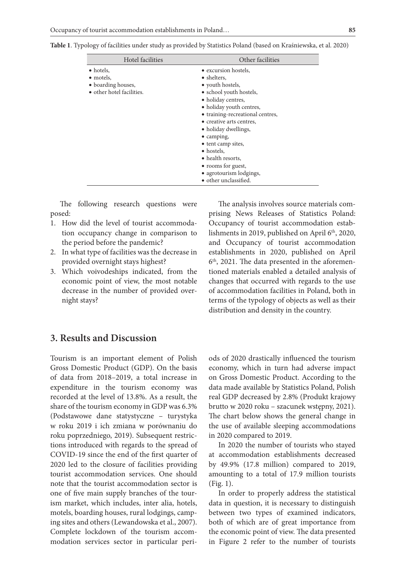| Hotel facilities          | Other facilities                 |  |  |  |
|---------------------------|----------------------------------|--|--|--|
| $\bullet$ hotels,         | • excursion hostels,             |  |  |  |
| • motels,                 | • shelters,                      |  |  |  |
| • boarding houses,        | • youth hostels,                 |  |  |  |
| • other hotel facilities. | • school youth hostels,          |  |  |  |
|                           | • holiday centres,               |  |  |  |
|                           | • holiday youth centres,         |  |  |  |
|                           | • training-recreational centres, |  |  |  |
|                           | • creative arts centres,         |  |  |  |
|                           | • holiday dwellings,             |  |  |  |
|                           | $\bullet$ camping,               |  |  |  |
|                           | • tent camp sites,               |  |  |  |
|                           | • hostels.                       |  |  |  |
|                           | • health resorts.                |  |  |  |
|                           | • rooms for guest,               |  |  |  |
|                           | • agrotourism lodgings,          |  |  |  |
|                           | • other unclassified.            |  |  |  |

**Table 1**. Typology of facilities under study as provided by Statistics Poland (based on Kraśniewska, et al. 2020)

The following research questions were posed:

- 1. How did the level of tourist accommodation occupancy change in comparison to the period before the pandemic?
- 2. In what type of facilities was the decrease in provided overnight stays highest?
- 3. Which voivodeships indicated, from the economic point of view, the most notable decrease in the number of provided overnight stays?

The analysis involves source materials comprising News Releases of Statistics Poland: Occupancy of tourist accommodation establishments in 2019, published on April  $6<sup>th</sup>$ , 2020, and Occupancy of tourist accommodation establishments in 2020, published on April  $6<sup>th</sup>$ , 2021. The data presented in the aforementioned materials enabled a detailed analysis of changes that occurred with regards to the use of accommodation facilities in Poland, both in terms of the typology of objects as well as their distribution and density in the country.

### **3. Results and Discussion**

Tourism is an important element of Polish Gross Domestic Product (GDP). On the basis of data from 2018–2019, a total increase in expenditure in the tourism economy was recorded at the level of 13.8%. As a result, the share of the tourism economy in GDP was 6.3% (Podstawowe dane statystyczne – turystyka w roku 2019 i ich zmiana w porównaniu do roku poprzedniego, 2019). Subsequent restrictions introduced with regards to the spread of COVID-19 since the end of the first quarter of 2020 led to the closure of facilities providing tourist accommodation services. One should note that the tourist accommodation sector is one of five main supply branches of the tourism market, which includes, inter alia, hotels, motels, boarding houses, rural lodgings, camping sites and others (Lewandowska et al., 2007). Complete lockdown of the tourism accommodation services sector in particular periods of 2020 drastically influenced the tourism economy, which in turn had adverse impact on Gross Domestic Product. According to the data made available by Statistics Poland, Polish real GDP decreased by 2.8% (Produkt krajowy brutto w 2020 roku – szacunek wstępny, 2021). The chart below shows the general change in the use of available sleeping accommodations in 2020 compared to 2019.

In 2020 the number of tourists who stayed at accommodation establishments decreased by 49.9% (17.8 million) compared to 2019, amounting to a total of 17.9 million tourists (Fig. 1).

In order to properly address the statistical data in question, it is necessary to distinguish between two types of examined indicators, both of which are of great importance from the economic point of view. The data presented in Figure 2 refer to the number of tourists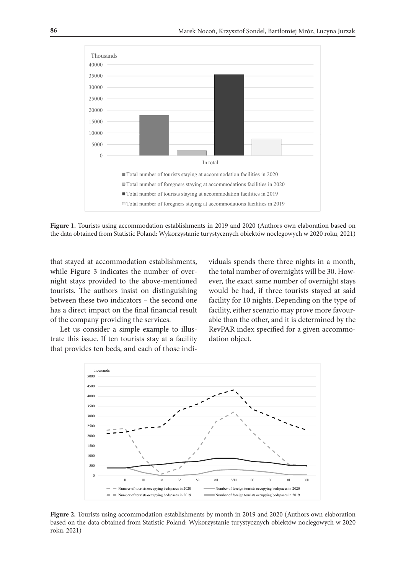

Figure 1. Tourists using accommodation establishments in 2019 and 2020 (Authors own elaboration based on the data obtained from Statistic Poland: Wykorzystanie turystycznych obiektów noclegowych w 2020 roku, 2021)

that stayed at accommodation establishments, while Figure 3 indicates the number of overnight stays provided to the above-mentioned tourists. The authors insist on distinguishing between these two indicators – the second one has a direct impact on the final financial result of the company providing the services.

Let us consider a simple example to illustrate this issue. If ten tourists stay at a facility that provides ten beds, and each of those individuals spends there three nights in a month, the total number of overnights will be 30. However, the exact same number of overnight stays would be had, if three tourists stayed at said facility for 10 nights. Depending on the type of facility, either scenario may prove more favourable than the other, and it is determined by the RevPAR index specified for a given accommodation object.



Figure 2. Tourists using accommodation establishments by month in 2019 and 2020 (Authors own elaboration based on the data obtained from Statistic Poland: Wykorzystanie turystycznych obiektów noclegowych w 2020 roku, 2021)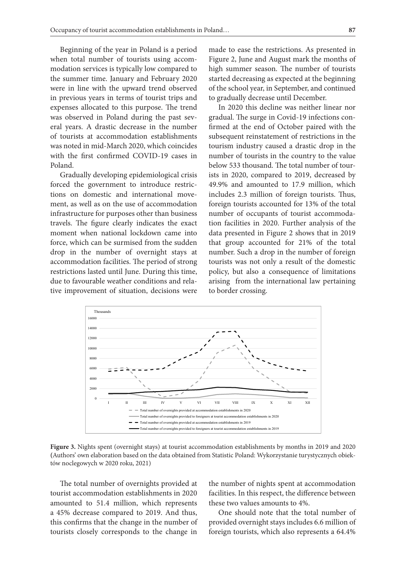Beginning of the year in Poland is a period when total number of tourists using accommodation services is typically low compared to the summer time. January and February 2020 were in line with the upward trend observed in previous years in terms of tourist trips and expenses allocated to this purpose. The trend was observed in Poland during the past several years. A drastic decrease in the number of tourists at accommodation establishments was noted in mid-March 2020, which coincides with the first confirmed COVID-19 cases in Poland.

Gradually developing epidemiological crisis forced the government to introduce restrictions on domestic and international movement, as well as on the use of accommodation infrastructure for purposes other than business travels. The figure clearly indicates the exact moment when national lockdown came into force, which can be surmised from the sudden drop in the number of overnight stays at accommodation facilities. The period of strong restrictions lasted until June. During this time, due to favourable weather conditions and relative improvement of situation, decisions were made to ease the restrictions. As presented in Figure 2, June and August mark the months of high summer season. The number of tourists started decreasing as expected at the beginning of the school year, in September, and continued to gradually decrease until December.

In 2020 this decline was neither linear nor gradual. The surge in Covid-19 infections confirmed at the end of October paired with the subsequent reinstatement of restrictions in the tourism industry caused a drastic drop in the number of tourists in the country to the value below 533 thousand. The total number of tourists in 2020, compared to 2019, decreased by 49.9% and amounted to 17.9 million, which includes 2.3 million of foreign tourists. Thus, foreign tourists accounted for 13% of the total number of occupants of tourist accommodation facilities in 2020. Further analysis of the data presented in Figure 2 shows that in 2019 that group accounted for 21% of the total number. Such a drop in the number of foreign tourists was not only a result of the domestic policy, but also a consequence of limitations arising from the international law pertaining to border crossing.



**Figure 3.** Nights spent (overnight stays) at tourist accommodation establishments by months in 2019 and 2020 **(**Authors' own elaboration based on the data obtained from Statistic Poland: Wykorzystanie turystycznych obiektów noclegowych w 2020 roku, 2021)

The total number of overnights provided at tourist accommodation establishments in 2020 amounted to 51.4 million, which represents a 45% decrease compared to 2019. And thus, this confirms that the change in the number of tourists closely corresponds to the change in

the number of nights spent at accommodation facilities. In this respect, the difference between these two values amounts to 4%.

One should note that the total number of provided overnight stays includes 6.6 million of foreign tourists, which also represents a 64.4%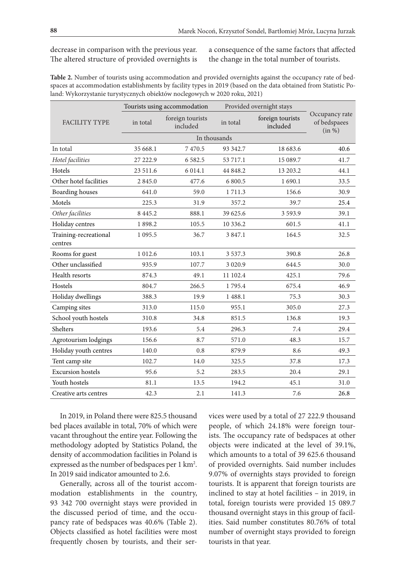#### decrease in comparison with the previous year. The altered structure of provided overnights is

a consequence of the same factors that affected the change in the total number of tourists.

**Table 2.** Number of tourists using accommodation and provided overnights against the occupancy rate of bedspaces at accommodation establishments by facility types in 2019 (based on the data obtained from Statistic Poland: Wykorzystanie turystycznych obiektów noclegowych w 2020 roku, 2021)

|                                  | Tourists using accommodation |                              | Provided overnight stays |                              |                                          |
|----------------------------------|------------------------------|------------------------------|--------------------------|------------------------------|------------------------------------------|
| <b>FACILITY TYPE</b>             | in total                     | foreign tourists<br>included | in total                 | foreign tourists<br>included | Occupancy rate<br>of bedspaees<br>(in %) |
|                                  |                              |                              |                          |                              |                                          |
| In total                         | 35 668.1                     | 7470.5                       | 93 342.7                 | 18 683.6                     | 40.6                                     |
| Hotel facilities                 | 27 222.9                     | 6 5 8 2.5                    | 53 717.1                 | 15 089.7                     | 41.7                                     |
| Hotels                           | 23 511.6                     | 6 0 1 4.1                    | 44 848.2                 | 13 203.2                     | 44.1                                     |
| Other hotel facilities           | 2 8 4 5 .0                   | 477.6                        | 6 800.5                  | 1690.1                       | 33.5                                     |
| <b>Boarding houses</b>           | 641.0                        | 59.0                         | 1 7 1 1 . 3              | 156.6                        | 30.9                                     |
| Motels                           | 225.3                        | 31.9                         | 357.2                    | 39.7                         | 25.4                                     |
| Other facilities                 | 8 4 4 5 .2                   | 888.1                        | 39 625.6                 | 3 5 9 3.9                    | 39.1                                     |
| Holiday centres                  | 1898.2                       | 105.5                        | 10 336.2                 | 601.5                        | 41.1                                     |
| Training-recreational<br>centres | 1 0 9 5.5                    | 36.7                         | 3 847.1                  | 164.5                        | 32.5                                     |
| Rooms for guest                  | 1 0 1 2.6                    | 103.1                        | 3 5 3 7 . 3              | 390.8                        | 26.8                                     |
| Other unclassified               | 935.9                        | 107.7                        | 3 0 2 0.9                | 644.5                        | 30.0                                     |
| Health resorts                   | 874.3                        | 49.1                         | 11 102.4                 | 425.1                        | 79.6                                     |
| Hostels                          | 804.7                        | 266.5                        | 1795.4                   | 675.4                        | 46.9                                     |
| Holiday dwellings                | 388.3                        | 19.9                         | 1 488.1                  | 75.3                         | 30.3                                     |
| Camping sites                    | 313.0                        | 115.0                        | 955.1                    | 305.0                        | 27.3                                     |
| School youth hostels             | 310.8                        | 34.8                         | 851.5                    | 136.8                        | 19.3                                     |
| Shelters                         | 193.6                        | 5.4                          | 296.3                    | 7.4                          | 29.4                                     |
| Agrotourism lodgings             | 156.6                        | 8.7                          | 571.0                    | 48.3                         | 15.7                                     |
| Holiday youth centres            | 140.0                        | 0.8                          | 879.9                    | 8.6                          | 49.3                                     |
| Tent camp site                   | 102.7                        | 14.0                         | 325.5                    | 37.8                         | 17.3                                     |
| <b>Excursion</b> hostels         | 95.6                         | 5.2                          | 283.5                    | 20.4                         | 29.1                                     |
| Youth hostels                    | 81.1                         | 13.5                         | 194.2                    | 45.1                         | 31.0                                     |
| Creative arts centres            | 42.3                         | 2.1                          | 141.3                    | 7.6                          | 26.8                                     |

In 2019, in Poland there were 825.5 thousand bed places available in total, 70% of which were vacant throughout the entire year. Following the methodology adopted by Statistics Poland, the density of accommodation facilities in Poland is expressed as the number of bedspaces per 1 km<sup>2</sup>. In 2019 said indicator amounted to 2.6.

Generally, across all of the tourist accommodation establishments in the country, 93 342 700 overnight stays were provided in the discussed period of time, and the occupancy rate of bedspaces was 40.6% (Table 2). Objects classified as hotel facilities were most frequently chosen by tourists, and their services were used by a total of 27 222.9 thousand people, of which 24.18% were foreign tourists. The occupancy rate of bedspaces at other objects were indicated at the level of 39.1%, which amounts to a total of 39 625.6 thousand of provided overnights. Said number includes 9.07% of overnights stays provided to foreign tourists. It is apparent that foreign tourists are inclined to stay at hotel facilities – in 2019, in total, foreign tourists were provided 15 089.7 thousand overnight stays in this group of facilities. Said number constitutes 80.76% of total number of overnight stays provided to foreign tourists in that year.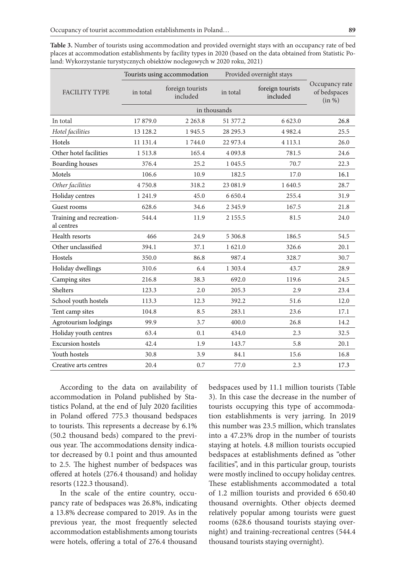| Table 3. Number of tourists using accommodation and provided overnight stays with an occupancy rate of bed      |
|-----------------------------------------------------------------------------------------------------------------|
| places at accommodation establishments by facility types in 2020 (based on the data obtained from Statistic Po- |
| land: Wykorzystanie turystycznych obiektów noclegowych w 2020 roku, 2021)                                       |

|                                        | Tourists using accommodation |                              |            | Provided overnight stays     |                                          |  |
|----------------------------------------|------------------------------|------------------------------|------------|------------------------------|------------------------------------------|--|
| <b>FACILITY TYPE</b>                   | in total                     | foreign tourists<br>included | in total   | foreign tourists<br>included | Occupancy rate<br>of bedspaces<br>(in %) |  |
|                                        |                              |                              |            |                              |                                          |  |
| In total                               | 17879.0                      | 2 2 6 3 .8                   | 51 377.2   | 6 623.0                      | 26.8                                     |  |
| Hotel facilities                       | 13 128.2                     | 1945.5                       | 28 29 5.3  | 4982.4                       | 25.5                                     |  |
| Hotels                                 | 11 131.4                     | 1744.0                       | 22 973.4   | 4 1 1 3 .1                   | 26.0                                     |  |
| Other hotel facilities                 | 1 5 1 3 .8                   | 165.4                        | 4 0 9 3.8  | 781.5                        | 24.6                                     |  |
| <b>Boarding</b> houses                 | 376.4                        | 25.2                         | 1 0 4 5 .5 | 70.7                         | 22.3                                     |  |
| Motels                                 | 106.6                        | 10.9                         | 182.5      | 17.0                         | 16.1                                     |  |
| Other facilities                       | 4750.8                       | 318.2                        | 23 08 1.9  | 1 640.5                      | 28.7                                     |  |
| Holiday centres                        | 1 241.9                      | 45.0                         | 6 6 5 0.4  | 255.4                        | 31.9                                     |  |
| Guest rooms                            | 628.6                        | 34.6                         | 2 3 4 5 .9 | 167.5                        | 21.8                                     |  |
| Training and recreation-<br>al centres | 544.4                        | 11.9                         | 2 1 5 5 .5 | 81.5                         | 24.0                                     |  |
| Health resorts                         | 466                          | 24.9                         | 5 306.8    | 186.5                        | 54.5                                     |  |
| Other unclassified                     | 394.1                        | 37.1                         | 1 621.0    | 326.6                        | 20.1                                     |  |
| Hostels                                | 350.0                        | 86.8                         | 987.4      | 328.7                        | 30.7                                     |  |
| Holiday dwellings                      | 310.6                        | 6.4                          | 1 303.4    | 43.7                         | 28.9                                     |  |
| Camping sites                          | 216.8                        | 38.3                         | 692.0      | 119.6                        | 24.5                                     |  |
| Shelters                               | 123.3                        | 2.0                          | 205.3      | 2.9                          | 23.4                                     |  |
| School youth hostels                   | 113.3                        | 12.3                         | 392.2      | 51.6                         | 12.0                                     |  |
| Tent camp sites                        | 104.8                        | 8.5                          | 283.1      | 23.6                         | 17.1                                     |  |
| Agrotourism lodgings                   | 99.9                         | 3.7                          | 400.0      | 26.8                         | 14.2                                     |  |
| Holiday youth centres                  | 63.4                         | 0.1                          | 434.0      | 2.3                          | 32.5                                     |  |
| <b>Excursion</b> hostels               | 42.4                         | 1.9                          | 143.7      | 5.8                          | 20.1                                     |  |
| Youth hostels                          | 30.8                         | 3.9                          | 84.1       | 15.6                         | 16.8                                     |  |
| Creative arts centres                  | 20.4                         | 0.7                          | 77.0       | 2.3                          | 17.3                                     |  |

According to the data on availability of accommodation in Poland published by Statistics Poland, at the end of July 2020 facilities in Poland offered 775.3 thousand bedspaces to tourists. This represents a decrease by 6.1% (50.2 thousand beds) compared to the previous year. The accommodations density indicator decreased by 0.1 point and thus amounted to 2.5. The highest number of bedspaces was offered at hotels (276.4 thousand) and holiday resorts (122.3 thousand).

In the scale of the entire country, occupancy rate of bedspaces was 26.8%, indicating a 13.8% decrease compared to 2019. As in the previous year, the most frequently selected accommodation establishments among tourists were hotels, offering a total of 276.4 thousand bedspaces used by 11.1 million tourists (Table 3). In this case the decrease in the number of tourists occupying this type of accommodation establishments is very jarring. In 2019 this number was 23.5 million, which translates into a 47.23% drop in the number of tourists staying at hotels. 4.8 million tourists occupied bedspaces at establishments defined as "other facilities", and in this particular group, tourists were mostly inclined to occupy holiday centres. These establishments accommodated a total of 1.2 million tourists and provided 6 650.40 thousand overnights. Other objects deemed relatively popular among tourists were guest rooms (628.6 thousand tourists staying overnight) and training-recreational centres (544.4 thousand tourists staying overnight).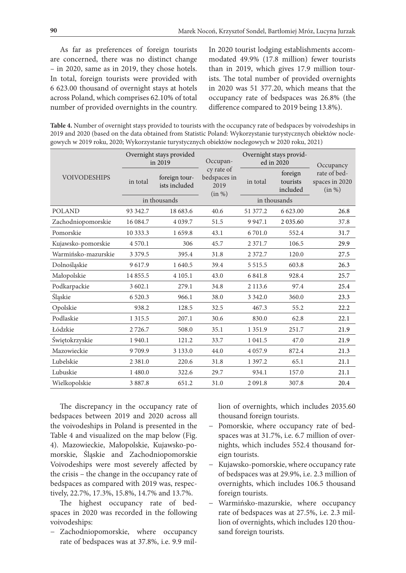As far as preferences of foreign tourists are concerned, there was no distinct change – in 2020, same as in 2019, they chose hotels. In total, foreign tourists were provided with 6 623.00 thousand of overnight stays at hotels across Poland, which comprises 62.10% of total number of provided overnights in the country.

In 2020 tourist lodging establishments accommodated 49.9% (17.8 million) fewer tourists than in 2019, which gives 17.9 million tourists. The total number of provided overnights in 2020 was 51 377.20, which means that the occupancy rate of bedspaces was 26.8% (the difference compared to 2019 being 13.8%).

**Table 4.** Number of overnight stays provided to tourists with the occupancy rate of bedspaces by voivodeships in 2019 and 2020 (based on the data obtained from Statistic Poland: Wykorzystanie turystycznych obiektów noclegowych w 2019 roku, 2020; Wykorzystanie turystycznych obiektów noclegowych w 2020 roku, 2021)

| <b>VOIVODESHIPS</b> | Overnight stays provided<br>in 2019 |                                | Occupan-                                     | Overnight stays provid-<br>ed in 2020 |                                 | Occupancy                                |
|---------------------|-------------------------------------|--------------------------------|----------------------------------------------|---------------------------------------|---------------------------------|------------------------------------------|
|                     | in total                            | foreign tour-<br>ists included | cy rate of<br>bedspaces in<br>2019<br>(in %) | in total                              | foreign<br>tourists<br>included | rate of bed-<br>spaces in 2020<br>(in %) |
|                     | in thousands                        |                                |                                              | in thousands                          |                                 |                                          |
| <b>POLAND</b>       | 93 342.7                            | 18 683.6                       | 40.6                                         | 51 377.2                              | 6 623.00                        | 26.8                                     |
| Zachodniopomorskie  | 16 084.7                            | 4 0 3 9 .7                     | 51.5                                         | 9 9 4 7.1                             | 2 0 3 5 .60                     | 37.8                                     |
| Pomorskie           | 10 333.3                            | 1 659.8                        | 43.1                                         | 6701.0                                | 552.4                           | 31.7                                     |
| Kujawsko-pomorskie  | 4 5 7 0 .1                          | 306                            | 45.7                                         | 2 3 7 1 .7                            | 106.5                           | 29.9                                     |
| Warmińsko-mazurskie | 3 3 7 9 .5                          | 395.4                          | 31.8                                         | 2 3 7 2.7                             | 120.0                           | 27.5                                     |
| Dolnośląskie        | 9617.9                              | 1 640.5                        | 39.4                                         | 5 5 1 5 .5                            | 603.8                           | 26.3                                     |
| Małopolskie         | 14 855.5                            | 4 1 0 5 .1                     | 43.0                                         | 6 8 4 1.8                             | 928.4                           | 25.7                                     |
| Podkarpackie        | 3 602.1                             | 279.1                          | 34.8                                         | 2 1 1 3 .6                            | 97.4                            | 25.4                                     |
| Śląskie             | 6 5 20.3                            | 966.1                          | 38.0                                         | 3 3 4 2 .0                            | 360.0                           | 23.3                                     |
| Opolskie            | 938.2                               | 128.5                          | 32.5                                         | 467.3                                 | 55.2                            | 22.2                                     |
| Podlaskie           | 1 3 1 5 .5                          | 207.1                          | 30.6                                         | 830.0                                 | 62.8                            | 22.1                                     |
| Łódzkie             | 2 7 2 6.7                           | 508.0                          | 35.1                                         | 1 3 5 1 .9                            | 251.7                           | 21.9                                     |
| Świętokrzyskie      | 1940.1                              | 121.2                          | 33.7                                         | 1 0 4 1 .5                            | 47.0                            | 21.9                                     |
| Mazowieckie         | 9709.9                              | 3 1 3 3 .0                     | 44.0                                         | 4 0 5 7.9                             | 872.4                           | 21.3                                     |
| Lubelskie           | 2 3 8 1 .0                          | 220.6                          | 31.8                                         | 1 3 9 7 . 2                           | 65.1                            | 21.1                                     |
| Lubuskie            | 1 480.0                             | 322.6                          | 29.7                                         | 934.1                                 | 157.0                           | 21.1                                     |
| Wielkopolskie       | 3 8 8 7.8                           | 651.2                          | 31.0                                         | 2 0 9 1.8                             | 307.8                           | 20.4                                     |

The discrepancy in the occupancy rate of bedspaces between 2019 and 2020 across all the voivodeships in Poland is presented in the Table 4 and visualized on the map below (Fig. 4). Mazowieckie, Małopolskie, Kujawsko-pomorskie, Śląskie and Zachodniopomorskie Voivodeships were most severely affected by the crisis – the change in the occupancy rate of bedspaces as compared with 2019 was, respectively, 22.7%, 17.3%, 15.8%, 14.7% and 13.7%.

The highest occupancy rate of bedspaces in 2020 was recorded in the following voivodeships:

− Zachodniopomorskie, where occupancy rate of bedspaces was at 37.8%, i.e. 9.9 million of overnights, which includes 2035.60 thousand foreign tourists.

- − Pomorskie, where occupancy rate of bedspaces was at 31.7%, i.e. 6.7 million of overnights, which includes 552.4 thousand foreign tourists.
- − Kujawsko-pomorskie, where occupancy rate of bedspaces was at 29.9%, i.e. 2.3 million of overnights, which includes 106.5 thousand foreign tourists.
- − Warmińsko-mazurskie, where occupancy rate of bedspaces was at 27.5%, i.e. 2.3 million of overnights, which includes 120 thousand foreign tourists.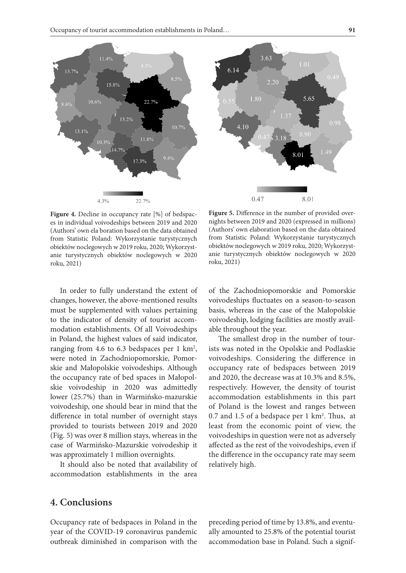22.7%

11.8%

17.3%

22.7%

 $11.4%$ 

 $10.6\%$ 

 $10.39$ 

 $4.3%$ 

 $14.7%$ 

 $13.1%$ 

 $8.6^{\circ}$ 

15.8%



Figure 4. Decline in occupancy rate [%] of bedspaces in individual voivodeships between 2019 and 2020 (Authors' own ela boration based on the data obtained from Statistic Poland: Wykorzystanie turystycznych obiektów noclegowych w 2019 roku, 2020; Wykorzystanie turystycznych obiektów noclegowych w 2020 roku, 2021)

In order to fully understand the extent of changes, however, the above-mentioned results must be supplemented with values pertaining to the indicator of density of tourist accommodation establishments. Of all Voivodeships in Poland, the highest values of said indicator, ranging from 4.6 to 6.3 bedspaces per  $1 \text{ km}^2$ , were noted in Zachodniopomorskie, Pomorskie and Małopolskie voivodeships. Although the occupancy rate of bed spaces in Małopolskie voivodeship in 2020 was admittedly lower (25.7%) than in Warmińsko-mazurskie voivodeship, one should bear in mind that the difference in total number of overnight stays provided to tourists between 2019 and 2020 (Fig. 5) was over 8 million stays, whereas in the case of Warmińsko-Mazurskie voivodeship it was approximately 1 million overnights.

It should also be noted that availability of accommodation establishments in the area

**Figure 5.** Difference in the number of provided overnights between 2019 and 2020 (expressed in millions) (Authors' own elaboration based on the data obtained from Statistic Poland: Wykorzystanie turystycznych obiektów noclegowych w 2019 roku, 2020; Wykorzystanie turystycznych obiektów noclegowych w 2020 roku, 2021)

of the Zachodniopomorskie and Pomorskie voivodeships fluctuates on a season-to-season basis, whereas in the case of the Małopolskie voivodeship, lodging facilities are mostly available throughout the year.

The smallest drop in the number of tourists was noted in the Opolskie and Podlaskie voivodeships. Considering the difference in occupancy rate of bedspaces between 2019 and 2020, the decrease was at 10.3% and 8.5%, respectively. However, the density of tourist accommodation establishments in this part of Poland is the lowest and ranges between 0.7 and 1.5 of a bedspace per 1 km2 . Thus, at least from the economic point of view, the voivodeships in question were not as adversely affected as the rest of the voivodeships, even if the difference in the occupancy rate may seem relatively high.

## **4. Conclusions**

Occupancy rate of bedspaces in Poland in the year of the COVID-19 coronavirus pandemic outbreak diminished in comparison with the

preceding period of time by 13.8%, and eventually amounted to 25.8% of the potential tourist accommodation base in Poland. Such a signif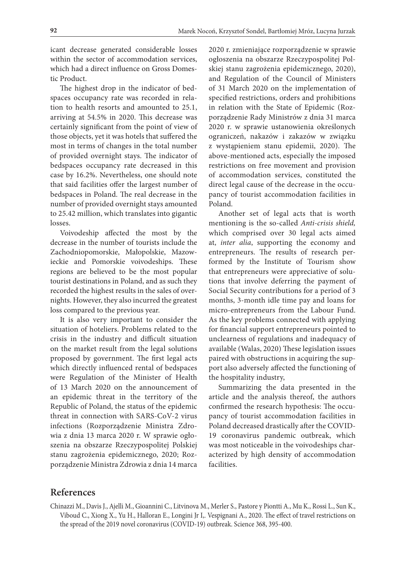icant decrease generated considerable losses within the sector of accommodation services, which had a direct influence on Gross Domestic Product.

The highest drop in the indicator of bedspaces occupancy rate was recorded in relation to health resorts and amounted to 25.1, arriving at 54.5% in 2020. This decrease was certainly significant from the point of view of those objects, yet it was hotels that suffered the most in terms of changes in the total number of provided overnight stays. The indicator of bedspaces occupancy rate decreased in this case by 16.2%. Nevertheless, one should note that said facilities offer the largest number of bedspaces in Poland. The real decrease in the number of provided overnight stays amounted to 25.42 million, which translates into gigantic losses.

Voivodeship affected the most by the decrease in the number of tourists include the Zachodniopomorskie, Małopolskie, Mazowieckie and Pomorskie voivodeships. These regions are believed to be the most popular tourist destinations in Poland, and as such they recorded the highest results in the sales of overnights. However, they also incurred the greatest loss compared to the previous year.

It is also very important to consider the situation of hoteliers. Problems related to the crisis in the industry and difficult situation on the market result from the legal solutions proposed by government. The first legal acts which directly influenced rental of bedspaces were Regulation of the Minister of Health of 13 March 2020 on the announcement of an epidemic threat in the territory of the Republic of Poland, the status of the epidemic threat in connection with SARS-CoV-2 virus infections (Rozporządzenie Ministra Zdrowia z dnia 13 marca 2020 r. W sprawie ogłoszenia na obszarze Rzeczypospolitej Polskiej stanu zagrożenia epidemicznego, 2020; Rozporządzenie Ministra Zdrowia z dnia 14 marca

2020 r. zmieniające rozporządzenie w sprawie ogłoszenia na obszarze Rzeczypospolitej Polskiej stanu zagrożenia epidemicznego, 2020), and Regulation of the Council of Ministers of 31 March 2020 on the implementation of specified restrictions, orders and prohibitions in relation with the State of Epidemic (Rozporządzenie Rady Ministrów z dnia 31 marca 2020 r. w sprawie ustanowienia określonych ograniczeń, nakazów i zakazów w związku z wystąpieniem stanu epidemii, 2020). The above-mentioned acts, especially the imposed restrictions on free movement and provision of accommodation services, constituted the direct legal cause of the decrease in the occupancy of tourist accommodation facilities in Poland.

Another set of legal acts that is worth mentioning is the so-called *Anti-crisis shield,* which comprised over 30 legal acts aimed at, *inter alia*, supporting the economy and entrepreneurs. The results of research performed by the Institute of Tourism show that entrepreneurs were appreciative of solutions that involve deferring the payment of Social Security contributions for a period of 3 months, 3-month idle time pay and loans for micro-entrepreneurs from the Labour Fund. As the key problems connected with applying for financial support entrepreneurs pointed to unclearness of regulations and inadequacy of available (Walas, 2020) These legislation issues paired with obstructions in acquiring the support also adversely affected the functioning of the hospitality industry,

Summarizing the data presented in the article and the analysis thereof, the authors confirmed the research hypothesis: The occupancy of tourist accommodation facilities in Poland decreased drastically after the COVID-19 coronavirus pandemic outbreak, which was most noticeable in the voivodeships characterized by high density of accommodation facilities.

## **References**

Chinazzi M., Davis J., Ajelli M., Gioannini C., Litvinova M., Merler S., Pastore y Piontti A., Mu K., Rossi L., Sun K., Viboud C., Xiong X., Yu H., Halloran E., Longini Jr I,. Vespignani A., 2020. The effect of travel restrictions on the spread of the 2019 novel coronavirus (COVID-19) outbreak. Science 368, 395-400.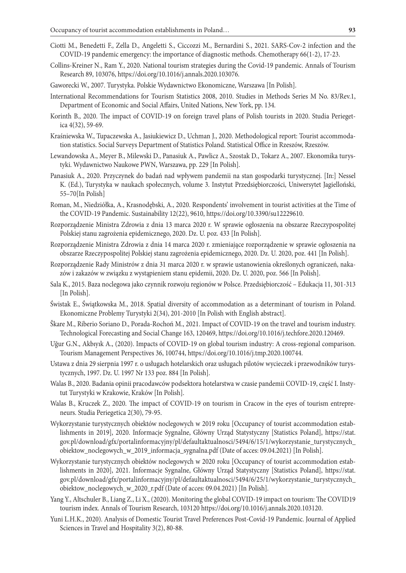- Ciotti M., Benedetti F., Zella D., Angeletti S., Ciccozzi M., Bernardini S., 2021. SARS-Cov-2 infection and the COVID-19 pandemic emergency: the importance of diagnostic methods. Chemotherapy 66(1-2), 17-23.
- Collins-Kreiner N., Ram Y., 2020. National tourism strategies during the Covid-19 pandemic. Annals of Tourism Research 89, 103076, https://doi.org/10.1016/j.annals.2020.103076.
- Gaworecki W., 2007. Turystyka. Polskie Wydawnictwo Ekonomiczne, Warszawa [In Polish].
- International Recommendations for Tourism Statistics 2008, 2010. Studies in Methods Series M No. 83/Rev.1, Department of Economic and Social Affairs, United Nations, New York, pp. 134.
- Korinth B., 2020. The impact of COVID-19 on foreign travel plans of Polish tourists in 2020. Studia Periegetica 4(32), 59-69.
- Kraśniewska W., Tupaczewska A., Jasiukiewicz D., Uchman J., 2020. Methodological report: Tourist accommodation statistics. Social Surveys Department of Statistics Poland. Statistical Office in Rzeszów, Rzeszów.
- Lewandowska A., Meyer B., Milewski D., Panasiuk A., Pawlicz A., Szostak D., Tokarz A., 2007. Ekonomika turystyki. Wydawnictwo Naukowe PWN, Warszawa, pp. 229 [In Polish].
- Panasiuk A., 2020. Przyczynek do badań nad wpływem pandemii na stan gospodarki turystycznej. [In:] Nessel K. (Ed.), Turystyka w naukach społecznych, volume 3. Instytut Przedsiębiorczości, Uniwersytet Jagielloński, 55–70[In Polish]
- Roman, M., Niedziółka, A., Krasnodębski, A., 2020. Respondents' involvement in tourist activities at the Time of the COVID-19 Pandemic. Sustainability 12(22), 9610, https://doi.org/10.3390/su12229610.
- Rozporządzenie Ministra Zdrowia z dnia 13 marca 2020 r. W sprawie ogłoszenia na obszarze Rzeczypospolitej Polskiej stanu zagrożenia epidemicznego, 2020. Dz. U. poz. 433 [In Polish].
- Rozporządzenie Ministra Zdrowia z dnia 14 marca 2020 r. zmieniające rozporządzenie w sprawie ogłoszenia na obszarze Rzeczypospolitej Polskiej stanu zagrożenia epidemicznego, 2020. Dz. U. 2020, poz. 441 [In Polish].
- Rozporządzenie Rady Ministrów z dnia 31 marca 2020 r. w sprawie ustanowienia określonych ograniczeń, nakazów i zakazów w związku z wystąpieniem stanu epidemii, 2020. Dz. U. 2020, poz. 566 [In Polish].
- Sala K., 2015. Baza noclegowa jako czynnik rozwoju regionów w Polsce. Przedsiębiorczość Edukacja 11, 301-313 [In Polish].
- Świstak E., Świątkowska M., 2018. Spatial diversity of accommodation as a determinant of tourism in Poland. Ekonomiczne Problemy Turystyki 2(34), 201-2010 [In Polish with English abstract].
- Škare M., Riberio Soriano D., Porada-Rochoń M., 2021. Impact of COVID-19 on the travel and tourism industry. Technological Forecasting and Social Change 163, 120469, https://doi.org/10.1016/j.techfore.2020.120469.
- Uğur G.N., Akbıyık A., (2020). Impacts of COVID-19 on global tourism industry: A cross-regional comparison. Tourism Management Perspectives 36, 100744, https://doi.org/10.1016/j.tmp.2020.100744.
- Ustawa z dnia 29 sierpnia 1997 r. o usługach hotelarskich oraz usługach pilotów wycieczek i przewodników turystycznych, 1997. Dz. U. 1997 Nr 133 poz. 884 [In Polish].
- Walas B., 2020. Badania opinii pracodawców podsektora hotelarstwa w czasie pandemii COVID-19, część I. Instytut Turystyki w Krakowie, Kraków [In Polish].
- Walas B., Kruczek Z., 2020. The impact of COVID-19 on tourism in Cracow in the eyes of tourism entrepreneurs. Studia Periegetica 2(30), 79-95.
- Wykorzystanie turystycznych obiektów noclegowych w 2019 roku [Occupancy of tourist accommodation establishments in 2019], 2020. Informacje Sygnalne, Główny Urząd Statystyczny [Statistics Poland], https://stat. gov.pl/download/gfx/portalinformacyjny/pl/defaultaktualnosci/5494/6/15/1/wykorzystanie\_turystycznych\_ obiektow\_noclegowych\_w\_2019\_informacja\_sygnalna.pdf (Date of acces: 09.04.2021) [In Polish].
- Wykorzystanie turystycznych obiektów noclegowych w 2020 roku [Occupancy of tourist accommodation establishments in 2020], 2021. Informacje Sygnalne, Główny Urząd Statystyczny [Statistics Poland], https://stat. gov.pl/download/gfx/portalinformacyjny/pl/defaultaktualnosci/5494/6/25/1/wykorzystanie\_turystycznych\_ obiektow\_noclegowych\_w\_2020\_r.pdf (Date of acces: 09.04.2021) [In Polish].
- Yang Y., Altschuler B., Liang Z., Li X., (2020). Monitoring the global COVID-19 impact on tourism: The COVID19 tourism index. Annals of Tourism Research, 103120 https://doi.org/10.1016/j.annals.2020.103120.
- Yuni L.H.K., 2020). Analysis of Domestic Tourist Travel Preferences Post-Covid-19 Pandemic. Journal of Applied Sciences in Travel and Hospitality 3(2), 80-88.